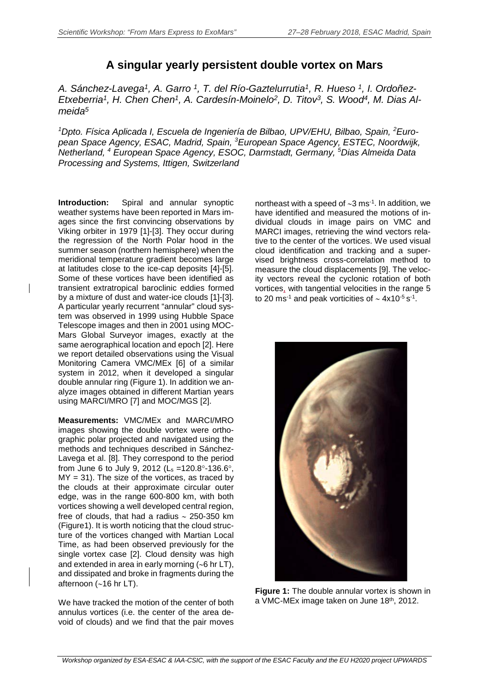## **A singular yearly persistent double vortex on Mars**

*A. Sánchez-Lavega1, A. Garro 1, T. del Río-Gaztelurrutia1, R. Hueso 1, I. Ordoñez-Etxeberria1, H. Chen Chen1, A. Cardesín-Moinelo2, D. Titov3, S. Wood4, M. Dias Almeida5*

<sup>1</sup>Dpto. Física Aplicada I, Escuela de Ingeniería de Bilbao, UPV/EHU, Bilbao, Spain, <sup>2</sup>Euro*pean Space Agency, ESAC, Madrid, Spain, <sup>3</sup> European Space Agency, ESTEC, Noordwijk, Netherland, <sup>4</sup> European Space Agency, ESOC, Darmstadt, Germany, <sup>5</sup> Dias Almeida Data Processing and Systems, Ittigen, Switzerland*

**Introduction:** Spiral and annular synoptic weather systems have been reported in Mars images since the first convincing observations by Viking orbiter in 1979 [1]-[3]. They occur during the regression of the North Polar hood in the summer season (northern hemisphere) when the meridional temperature gradient becomes large at latitudes close to the ice-cap deposits [4]-[5]. Some of these vortices have been identified as transient extratropical baroclinic eddies formed by a mixture of dust and water-ice clouds [1]-[3]. A particular yearly recurrent "annular" cloud system was observed in 1999 using Hubble Space Telescope images and then in 2001 using MOC-Mars Global Surveyor images, exactly at the same aerographical location and epoch [2]. Here we report detailed observations using the Visual Monitoring Camera VMC/MEx [6] of a similar system in 2012, when it developed a singular double annular ring (Figure 1). In addition we analyze images obtained in different Martian years using MARCI/MRO [7] and MOC/MGS [2].

**Measurements:** VMC/MEx and MARCI/MRO images showing the double vortex were orthographic polar projected and navigated using the methods and techniques described in Sánchez-Lavega et al. [8]. They correspond to the period from June 6 to July 9, 2012 ( $L_s = 120.8^\circ - 136.6^\circ$ ,  $MY = 31$ ). The size of the vortices, as traced by the clouds at their approximate circular outer edge, was in the range 600-800 km, with both vortices showing a well developed central region, free of clouds, that had a radius ∼ 250-350 km (Figure1). It is worth noticing that the cloud structure of the vortices changed with Martian Local Time, as had been observed previously for the single vortex case [2]. Cloud density was high and extended in area in early morning (∼6 hr LT), and dissipated and broke in fragments during the afternoon (∼16 hr LT).

We have tracked the motion of the center of both annulus vortices (i.e. the center of the area devoid of clouds) and we find that the pair moves

northeast with a speed of ~3 ms<sup>-1</sup>. In addition, we have identified and measured the motions of individual clouds in image pairs on VMC and MARCI images, retrieving the wind vectors relative to the center of the vortices. We used visual cloud identification and tracking and a supervised brightness cross-correlation method to measure the cloud displacements [9]. The velocity vectors reveal the cyclonic rotation of both vortices, with tangential velocities in the range 5 to 20 ms-1 and peak vorticities of ∼ 4x10-5 s-1.



**Figure 1:** The double annular vortex is shown in a VMC-MEx image taken on June 18th, 2012.